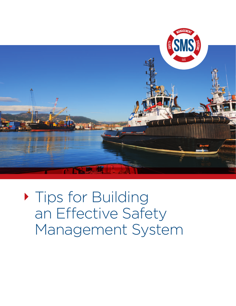

**Tips for Building** an Effective Safety Management System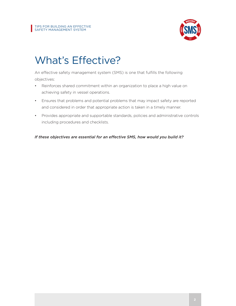

## What's Effective?

An effective safety management system (SMS) is one that fulfills the following objectives:

- Reinforces shared commitment within an organization to place a high value on achieving safety in vessel operations.
- • Ensures that problems and potential problems that may impact safety are reported and considered in order that appropriate action is taken in a timely manner.
- Provides appropriate and supportable standards, policies and administrative controls including procedures and checklists.

*If these objectives are essential for an effective SMS, how would you build it?*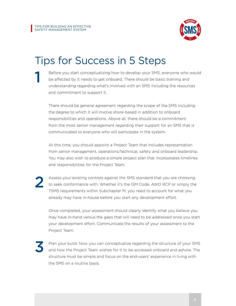

## Tips for Success in 5 Steps

Before you start conceptualizing how to develop your SMS, everyone who would be affected by it needs to get onboard. There should be basic training and understanding regarding what's involved with an SMS including the resources and commitment to support it.

There should be general agreement regarding the scope of the SMS including the degree to which it will involve shore-based in addition to onboard responsibilities and operations. Above all, there should be a commitment from the most senior management regarding their support for an SMS that is communicated to everyone who will participate in the system.

At this time, you should appoint a Project Team that includes representation from senior management, operations/technical, safety and onboard leadership. You may also wish to produce a simple project plan that incorporates timelines and responsibilities for the Project Team.

2

1

Assess your existing controls against the SMS standard that you are choosing to seek conformance with. Whether it's the ISM Code, AWO RCP or simply the TSMS requirements within Subchapter M, you need to account for what you already may have in-house before you start any development effort.

Once completed, your assessment should clearly identify what you believe you may have in-hand versus the gaps that will need to be addressed once you start your development effort. Communicate the results of your assessment to the Project Team.

3

Plan your build. Now you can conceptualize regarding the structure of your SMS and how the Project Team wishes for it to be accessed onboard and ashore. The structure must be simple and focus on the end-users' experience in living with the SMS on a routine basis.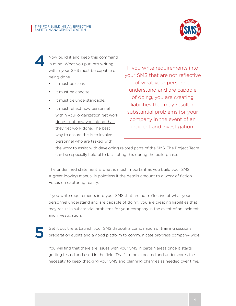

Now build it and keep this command in mind. What you put into writing within your SMS must be capable of being done. 4

- It must be clear.
- It must be concise.
- It must be understandable.
- • It must reflect how personnel within your organization get work done – not how you intend that they get work done. The best way to ensure this is to involve personnel who are tasked with

If you write requirements into your SMS that are not reflective of what your personnel understand and are capable of doing, you are creating liabilities that may result in substantial problems for your company in the event of an incident and investigation.

the work to assist with developing related parts of the SMS. The Project Team can be especially helpful to facilitating this during the build phase.

The underlined statement is what is most important as you build your SMS. A great looking manual is pointless if the details amount to a work of fiction. Focus on capturing reality.

If you write requirements into your SMS that are not reflective of what your personnel understand and are capable of doing, you are creating liabilities that may result in substantial problems for your company in the event of an incident and investigation.

5

Get it out there. Launch your SMS through a combination of training sessions, preparation audits and a good platform to communicate progress company-wide.

You will find that there are issues with your SMS in certain areas once it starts getting tested and used in the field. That's to be expected and underscores the necessity to keep checking your SMS and planning changes as needed over time.